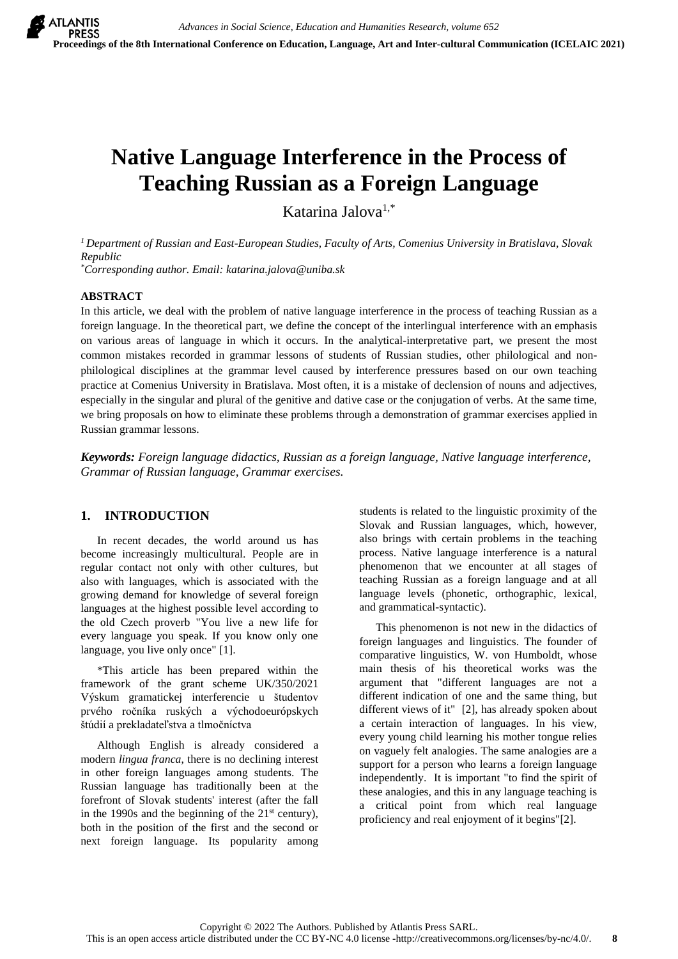# **Native Language Interference in the Process of Teaching Russian as a Foreign Language**

Katarina Jalova1,\*

*<sup>1</sup> Department of Russian and East-European Studies, Faculty of Arts, Comenius University in Bratislava, Slovak Republic \*Corresponding author. Email: katarina.jalova@uniba.sk*

**ABSTRACT**

In this article, we deal with the problem of native language interference in the process of teaching Russian as a foreign language. In the theoretical part, we define the concept of the interlingual interference with an emphasis on various areas of language in which it occurs. In the analytical-interpretative part, we present the most common mistakes recorded in grammar lessons of students of Russian studies, other philological and nonphilological disciplines at the grammar level caused by interference pressures based on our own teaching practice at Comenius University in Bratislava. Most often, it is a mistake of declension of nouns and adjectives, especially in the singular and plural of the genitive and dative case or the conjugation of verbs. At the same time, we bring proposals on how to eliminate these problems through a demonstration of grammar exercises applied in Russian grammar lessons.

*Keywords: Foreign language didactics, Russian as a foreign language, Native language interference, Grammar of Russian language, Grammar exercises.*

# **1. INTRODUCTION**

In recent decades, the world around us has become increasingly multicultural. People are in regular contact not only with other cultures, but also with languages, which is associated with the growing demand for knowledge of several foreign languages at the highest possible level according to the old Czech proverb "You live a new life for every language you speak. If you know only one language, you live only once" [1].

\*This article has been prepared within the framework of the grant scheme UK/350/2021 Výskum gramatickej interferencie u študentov prvého ročníka ruských a východoeurópskych štúdií a prekladateľstva a tlmočníctva

Although English is already considered a modern *lingua franca*, there is no declining interest in other foreign languages among students. The Russian language has traditionally been at the forefront of Slovak students' interest (after the fall in the 1990s and the beginning of the  $21<sup>st</sup>$  century), both in the position of the first and the second or next foreign language. Its popularity among

students is related to the linguistic proximity of the Slovak and Russian languages, which, however, also brings with certain problems in the teaching process. Native language interference is a natural phenomenon that we encounter at all stages of teaching Russian as a foreign language and at all language levels (phonetic, orthographic, lexical, and grammatical-syntactic).

This phenomenon is not new in the didactics of foreign languages and linguistics. The founder of comparative linguistics, W. von Humboldt, whose main thesis of his theoretical works was the argument that "different languages are not a different indication of one and the same thing, but different views of it" [2], has already spoken about a certain interaction of languages. In his view, every young child learning his mother tongue relies on vaguely felt analogies. The same analogies are a support for a person who learns a foreign language independently. It is important "to find the spirit of these analogies, and this in any language teaching is a critical point from which real language proficiency and real enjoyment of it begins"[2].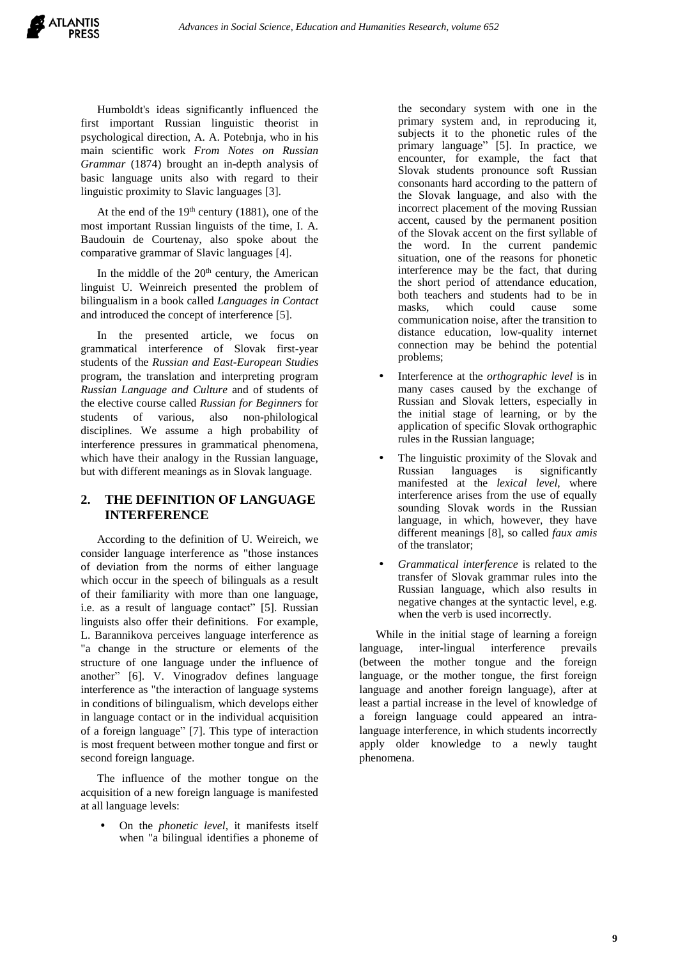Humboldt's ideas significantly influenced the first important Russian linguistic theorist in psychological direction, A. A. Potebnja, who in his main scientific work *From Notes on Russian Grammar* (1874) brought an in-depth analysis of basic language units also with regard to their linguistic proximity to Slavic languages [3].

At the end of the  $19<sup>th</sup>$  century (1881), one of the most important Russian linguists of the time, I. A. Baudouin de Courtenay, also spoke about the comparative grammar of Slavic languages [4].

In the middle of the  $20<sup>th</sup>$  century, the American linguist U. Weinreich presented the problem of bilingualism in a book called *Languages in Contact* and introduced the concept of interference [5].

In the presented article, we focus on grammatical interference of Slovak first-year students of the *Russian and East-European Studies* program, the translation and interpreting program *Russian Language and Culture* and of students of the elective course called *Russian for Beginners* for students of various, also non-philological disciplines. We assume a high probability of interference pressures in grammatical phenomena, which have their analogy in the Russian language, but with different meanings as in Slovak language.

# **2. THE DEFINITION OF LANGUAGE INTERFERENCE**

According to the definition of U. Weireich, we consider language interference as "those instances of deviation from the norms of either language which occur in the speech of bilinguals as a result of their familiarity with more than one language, i.e. as a result of language contact" [5]. Russian linguists also offer their definitions. For example, L. Barannikova perceives language interference as "a change in the structure or elements of the structure of one language under the influence of another" [6]. V. Vinogradov defines language interference as "the interaction of language systems in conditions of bilingualism, which develops either in language contact or in the individual acquisition of a foreign language" [7]. This type of interaction is most frequent between mother tongue and first or second foreign language.

The influence of the mother tongue on the acquisition of a new foreign language is manifested at all language levels:

 On the *phonetic level*, it manifests itself when "a bilingual identifies a phoneme of the secondary system with one in the primary system and, in reproducing it, subjects it to the phonetic rules of the primary language" [5]. In practice, we encounter, for example, the fact that Slovak students pronounce soft Russian consonants hard according to the pattern of the Slovak language, and also with the incorrect placement of the moving Russian accent, caused by the permanent position of the Slovak accent on the first syllable of the word. In the current pandemic situation, one of the reasons for phonetic interference may be the fact, that during the short period of attendance education, both teachers and students had to be in masks, which could cause some communication noise, after the transition to distance education, low-quality internet connection may be behind the potential problems;

- Interference at the *orthographic level* is in many cases caused by the exchange of Russian and Slovak letters, especially in the initial stage of learning, or by the application of specific Slovak orthographic rules in the Russian language;
- The linguistic proximity of the Slovak and Russian languages is significantly manifested at the *lexical level*, where interference arises from the use of equally sounding Slovak words in the Russian language, in which, however, they have different meanings [8], so called *faux amis* of the translator;
- *Grammatical interference* is related to the transfer of Slovak grammar rules into the Russian language, which also results in negative changes at the syntactic level, e.g. when the verb is used incorrectly.

While in the initial stage of learning a foreign language, inter-lingual interference prevails (between the mother tongue and the foreign language, or the mother tongue, the first foreign language and another foreign language), after at least a partial increase in the level of knowledge of a foreign language could appeared an intralanguage interference, in which students incorrectly apply older knowledge to a newly taught phenomena.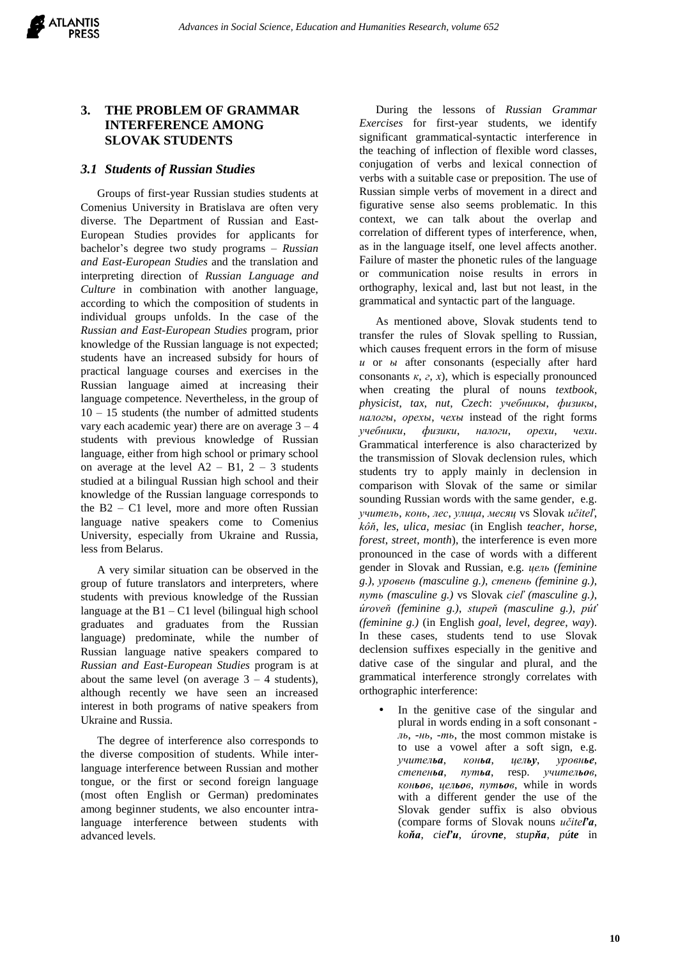# **3. THE PROBLEM OF GRAMMAR INTERFERENCE AMONG SLOVAK STUDENTS**

## *3.1 Students of Russian Studies*

Groups of first-year Russian studies students at Comenius University in Bratislava are often very diverse. The Department of Russian and East-European Studies provides for applicants for bachelor's degree two study programs – *Russian and East-European Studies* and the translation and interpreting direction of *Russian Language and Culture* in combination with another language, according to which the composition of students in individual groups unfolds. In the case of the *Russian and East-European Studies* program, prior knowledge of the Russian language is not expected; students have an increased subsidy for hours of practical language courses and exercises in the Russian language aimed at increasing their language competence. Nevertheless, in the group of  $10 - 15$  students (the number of admitted students vary each academic year) there are on average  $3 - 4$ students with previous knowledge of Russian language, either from high school or primary school on average at the level  $A2 - B1$ ,  $2 - 3$  students studied at a bilingual Russian high school and their knowledge of the Russian language corresponds to the B2 – C1 level, more and more often Russian language native speakers come to Comenius University, especially from Ukraine and Russia, less from Belarus.

A very similar situation can be observed in the group of future translators and interpreters, where students with previous knowledge of the Russian language at the  $B1 - C1$  level (bilingual high school graduates and graduates from the Russian language) predominate, while the number of Russian language native speakers compared to *Russian and East-European Studies* program is at about the same level (on average  $3 - 4$  students), although recently we have seen an increased interest in both programs of native speakers from Ukraine and Russia.

The degree of interference also corresponds to the diverse composition of students. While interlanguage interference between Russian and mother tongue, or the first or second foreign language (most often English or German) predominates among beginner students, we also encounter intralanguage interference between students with advanced levels.

During the lessons of *Russian Grammar Exercises* for first-year students, we identify significant grammatical-syntactic interference in the teaching of inflection of flexible word classes, conjugation of verbs and lexical connection of verbs with a suitable case or preposition. The use of Russian simple verbs of movement in a direct and figurative sense also seems problematic. In this context, we can talk about the overlap and correlation of different types of interference, when, as in the language itself, one level affects another. Failure of master the phonetic rules of the language or communication noise results in errors in orthography, lexical and, last but not least, in the grammatical and syntactic part of the language.

As mentioned above, Slovak students tend to transfer the rules of Slovak spelling to Russian, which causes frequent errors in the form of misuse *и* or *ы* after consonants (especially after hard consonants  $\kappa$ , *z*, *x*), which is especially pronounced when creating the plural of nouns *textbook*, *physicist*, *tax*, *nut*, *Czech*: *учебникы*, *физикы*, *налогы*, *орехы*, *чехы* instead of the right forms *учебники*, *физики*, *налоги*, *орехи*, *чехи*. Grammatical interference is also characterized by the transmission of Slovak declension rules, which students try to apply mainly in declension in comparison with Slovak of the same or similar sounding Russian words with the same gender, e.g. *учитель*, *конь*, *лес*, *улица*, *месяц* vs Slovak *učiteľ*, *kôň*, *les*, *ulica*, *mesiac* (in English *teacher*, *horse*, *forest*, *street*, *month*), the interference is even more pronounced in the case of words with a different gender in Slovak and Russian, e.g. *цель (feminine g.)*, *уровень (masculine g.)*, *степень (feminine g.)*, *путь (masculine g.)* vs Slovak *cieľ (masculine g.)*, *úroveň (feminine g.)*, *stupeň (masculine g.)*, *púť (feminine g.)* (in English *goal*, *level*, *degree*, *way*). In these cases, students tend to use Slovak declension suffixes especially in the genitive and dative case of the singular and plural, and the grammatical interference strongly correlates with orthographic interference:

 In the genitive case of the singular and plural in words ending in a soft consonant  *ль*, *-нь*, *-ть*, the most common mistake is to use a vowel after a soft sign, e.g. *учительа*, *коньа*, *цельу*, *уровнье*, *степеньа*, *путьа*, resp. *учительов*, *коньов*, *цельов*, *путьов*, while in words with a different gender the use of the Slovak gender suffix is also obvious (compare forms of Slovak nouns *učiteľa*, *koňa*, *cieľu*, *úrovne*, *stupňa*, *púte* in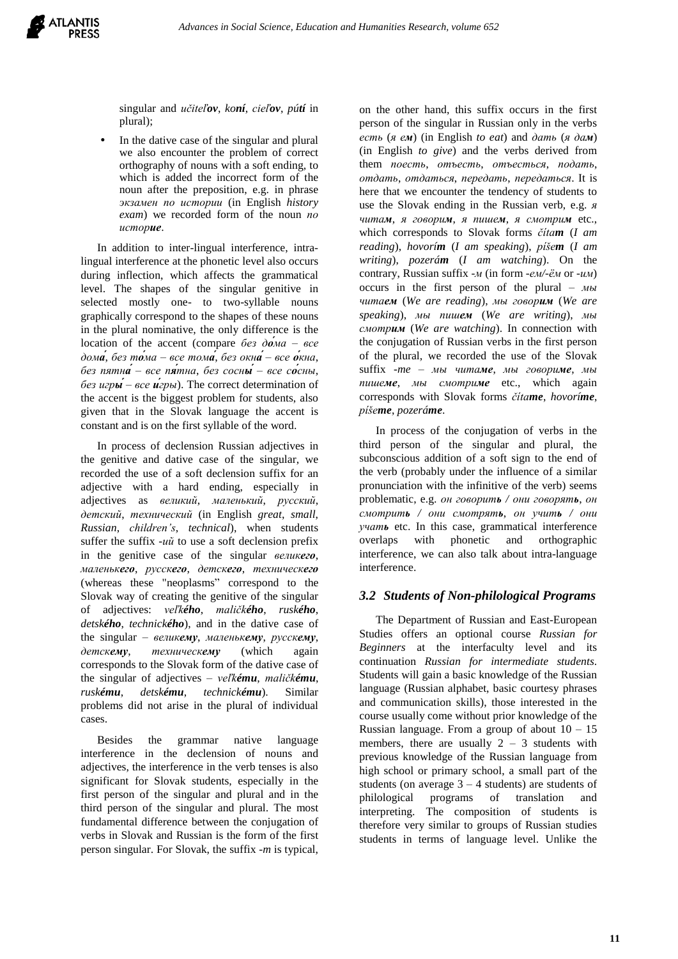

singular and *učiteľov*, *koní*, *cieľov*, *pútí* in plural);

 In the dative case of the singular and plural we also encounter the problem of correct orthography of nouns with a soft ending, to which is added the incorrect form of the noun after the preposition, e.g. in phrase *экзамен по истории* (in English *history exam*) we recorded form of the noun *по историе*.

In addition to inter-lingual interference, intralingual interference at the phonetic level also occurs during inflection, which affects the grammatical level. The shapes of the singular genitive in selected mostly one- to two-syllable nouns graphically correspond to the shapes of these nouns in the plural nominative, the only difference is the location of the accent (compare *без до́ма – все дома́*, *без то́ма – все тома́*, *без окна́– все о́кна*, *без пятна́ – все пя́тна*, *без сосны́ – все со́сны*, *без игры́– все и́гры*). The correct determination of the accent is the biggest problem for students, also given that in the Slovak language the accent is constant and is on the first syllable of the word.

In process of declension Russian adjectives in the genitive and dative case of the singular, we recorded the use of a soft declension suffix for an adjective with a hard ending, especially in adjectives as *великий*, *маленький*, *русский*, *детский*, *технический* (in English *great*, *small*, *Russian*, *children's*, *technical*), when students suffer the suffix *-ий* to use a soft declension prefix in the genitive case of the singular *великего*, *маленькего*, *русскего*, *детскего*, *техническего* (whereas these "neoplasms" correspond to the Slovak way of creating the genitive of the singular of adjectives: *veľkého*, *maličkého*, *ruského*, *detského*, *technického*), and in the dative case of the singular – *великему*, *маленькему*, *русскему*, *детскему*, *техническему* (which again corresponds to the Slovak form of the dative case of the singular of adjectives – *veľkému*, *maličkému*, *ruskému*, *detskému*, *technickému*). Similar problems did not arise in the plural of individual cases.

Besides the grammar native language interference in the declension of nouns and adjectives, the interference in the verb tenses is also significant for Slovak students, especially in the first person of the singular and plural and in the third person of the singular and plural. The most fundamental difference between the conjugation of verbs in Slovak and Russian is the form of the first person singular. For Slovak, the suffix *-m* is typical,

on the other hand, this suffix occurs in the first person of the singular in Russian only in the verbs *есть* (*я ем*) (in English *to eat*) and *дать* (*я дам*) (in English *to give*) and the verbs derived from them *поесть*, *отъесть*, *отъесться*, *подать*, *отдать*, *отдаться*, *передать*, *передаться*. It is here that we encounter the tendency of students to use the Slovak ending in the Russian verb, e.g. *я читам*, *я говорим*, *я пишем*, *я смотрим* etc., which corresponds to Slovak forms *čítam* (*I am reading*), *hovorím* (*I am speaking*), *píšem* (*I am writing*), *pozerám* (*I am watching*). On the contrary, Russian suffix *-м* (in form *-ем/-ём* or *-им*) occurs in the first person of the plural – *мы читаем* (*We are reading*), *мы говорим* (*We are speaking*), *мы пишем* (*We are writing*), *мы смотрим* (*We are watching*). In connection with the conjugation of Russian verbs in the first person of the plural, we recorded the use of the Slovak suffix *-me* – *мы читаме*, *мы говориме*, *мы пишеме*, *мы смотриме* etc., which again corresponds with Slovak forms *čítame*, *hovoríme*, *píšeme*, *pozeráme*.

In process of the conjugation of verbs in the third person of the singular and plural, the subconscious addition of a soft sign to the end of the verb (probably under the influence of a similar pronunciation with the infinitive of the verb) seems problematic, e.g. *он говорить / они говорять*, *он смотрить / они смотрять*, *он учить / они учать* etc. In this case, grammatical interference overlaps with phonetic and orthographic interference, we can also talk about intra-language interference.

## *3.2 Students of Non-philological Programs*

The Department of Russian and East-European Studies offers an optional course *Russian for Beginners* at the interfaculty level and its continuation *Russian for intermediate students*. Students will gain a basic knowledge of the Russian language (Russian alphabet, basic courtesy phrases and communication skills), those interested in the course usually come without prior knowledge of the Russian language. From a group of about  $10 - 15$ members, there are usually  $2 - 3$  students with previous knowledge of the Russian language from high school or primary school, a small part of the students (on average  $3 - 4$  students) are students of philological programs of translation and interpreting. The composition of students is therefore very similar to groups of Russian studies students in terms of language level. Unlike the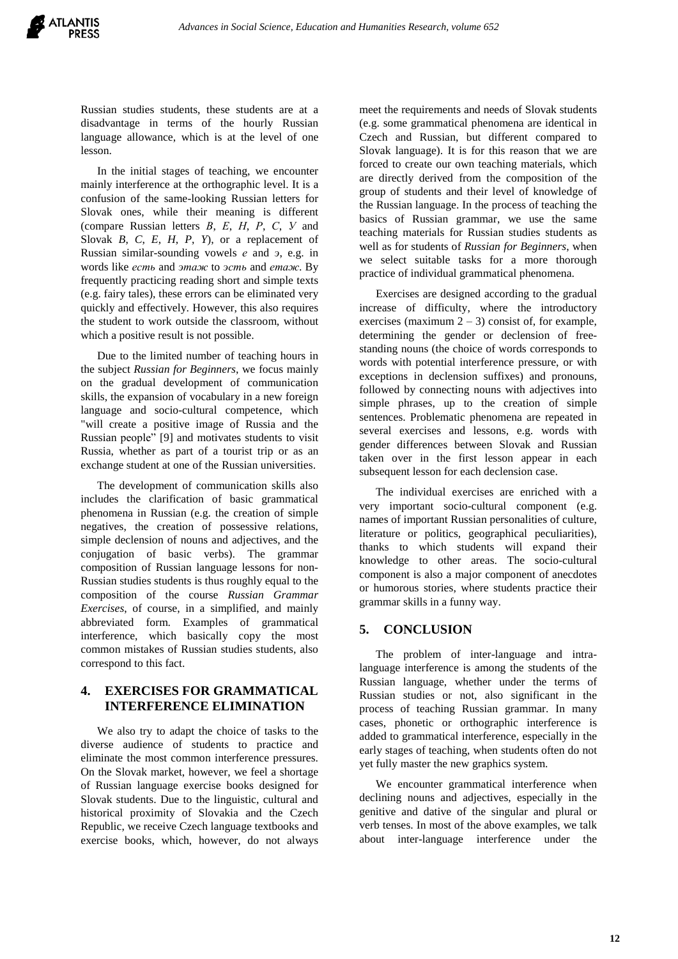

Russian studies students, these students are at a disadvantage in terms of the hourly Russian language allowance, which is at the level of one lesson.

In the initial stages of teaching, we encounter mainly interference at the orthographic level. It is a confusion of the same-looking Russian letters for Slovak ones, while their meaning is different (compare Russian letters *В*, *Е*, *Н*, *Р*, *С*, *У* and Slovak *B*, *C*, *E*, *H*, *P*, *Y*), or a replacement of Russian similar-sounding vowels *е* and *э*, e.g. in words like *есть* and *этаж* to *эсть* and *етаж*. By frequently practicing reading short and simple texts (e.g. fairy tales), these errors can be eliminated very quickly and effectively. However, this also requires the student to work outside the classroom, without which a positive result is not possible.

Due to the limited number of teaching hours in the subject *Russian for Beginners*, we focus mainly on the gradual development of communication skills, the expansion of vocabulary in a new foreign language and socio-cultural competence, which "will create a positive image of Russia and the Russian people" [9] and motivates students to visit Russia, whether as part of a tourist trip or as an exchange student at one of the Russian universities.

The development of communication skills also includes the clarification of basic grammatical phenomena in Russian (e.g. the creation of simple negatives, the creation of possessive relations, simple declension of nouns and adjectives, and the conjugation of basic verbs). The grammar composition of Russian language lessons for non-Russian studies students is thus roughly equal to the composition of the course *Russian Grammar Exercises*, of course, in a simplified, and mainly abbreviated form. Examples of grammatical interference, which basically copy the most common mistakes of Russian studies students, also correspond to this fact.

## **4. EXERCISES FOR GRAMMATICAL INTERFERENCE ELIMINATION**

We also try to adapt the choice of tasks to the diverse audience of students to practice and eliminate the most common interference pressures. On the Slovak market, however, we feel a shortage of Russian language exercise books designed for Slovak students. Due to the linguistic, cultural and historical proximity of Slovakia and the Czech Republic, we receive Czech language textbooks and exercise books, which, however, do not always meet the requirements and needs of Slovak students (e.g. some grammatical phenomena are identical in Czech and Russian, but different compared to Slovak language). It is for this reason that we are forced to create our own teaching materials, which are directly derived from the composition of the group of students and their level of knowledge of the Russian language. In the process of teaching the basics of Russian grammar, we use the same teaching materials for Russian studies students as well as for students of *Russian for Beginners*, when we select suitable tasks for a more thorough practice of individual grammatical phenomena.

Exercises are designed according to the gradual increase of difficulty, where the introductory exercises (maximum  $2 - 3$ ) consist of, for example, determining the gender or declension of freestanding nouns (the choice of words corresponds to words with potential interference pressure, or with exceptions in declension suffixes) and pronouns, followed by connecting nouns with adjectives into simple phrases, up to the creation of simple sentences. Problematic phenomena are repeated in several exercises and lessons, e.g. words with gender differences between Slovak and Russian taken over in the first lesson appear in each subsequent lesson for each declension case.

The individual exercises are enriched with a very important socio-cultural component (e.g. names of important Russian personalities of culture, literature or politics, geographical peculiarities), thanks to which students will expand their knowledge to other areas. The socio-cultural component is also a major component of anecdotes or humorous stories, where students practice their grammar skills in a funny way.

## **5. CONCLUSION**

The problem of inter-language and intralanguage interference is among the students of the Russian language, whether under the terms of Russian studies or not, also significant in the process of teaching Russian grammar. In many cases, phonetic or orthographic interference is added to grammatical interference, especially in the early stages of teaching, when students often do not yet fully master the new graphics system.

We encounter grammatical interference when declining nouns and adjectives, especially in the genitive and dative of the singular and plural or verb tenses. In most of the above examples, we talk about inter-language interference under the